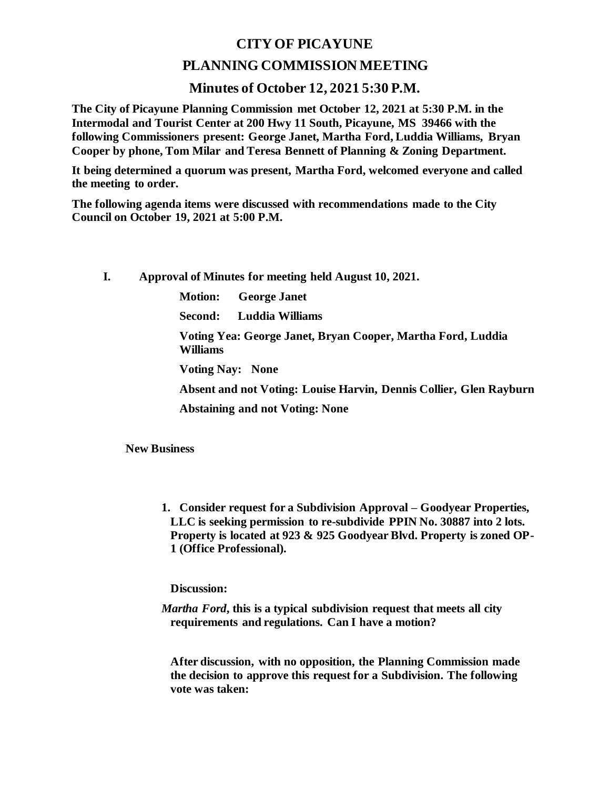## **CITY OF PICAYUNE**

## **PLANNING COMMISSION MEETING**

## **Minutes of October 12, 2021 5:30 P.M.**

**The City of Picayune Planning Commission met October 12, 2021 at 5:30 P.M. in the Intermodal and Tourist Center at 200 Hwy 11 South, Picayune, MS 39466 with the following Commissioners present: George Janet, Martha Ford, Luddia Williams, Bryan Cooper by phone, Tom Milar and Teresa Bennett of Planning & Zoning Department.**

**It being determined a quorum was present, Martha Ford, welcomed everyone and called the meeting to order.**

**The following agenda items were discussed with recommendations made to the City Council on October 19, 2021 at 5:00 P.M.** 

**I. Approval of Minutes for meeting held August 10, 2021.**

**Motion: George Janet**

**Second: Luddia Williams**

**Voting Yea: George Janet, Bryan Cooper, Martha Ford, Luddia Williams**

**Voting Nay: None**

**Absent and not Voting: Louise Harvin, Dennis Collier, Glen Rayburn**

**Abstaining and not Voting: None**

**New Business**

**1. Consider request for a Subdivision Approval – Goodyear Properties, LLC is seeking permission to re-subdivide PPIN No. 30887 into 2 lots. Property is located at 923 & 925 Goodyear Blvd. Property is zoned OP-1 (Office Professional).** 

**Discussion:**

*Martha Ford***, this is a typical subdivision request that meets all city requirements and regulations. Can I have a motion?**

**After discussion, with no opposition, the Planning Commission made the decision to approve this request for a Subdivision. The following vote was taken:**